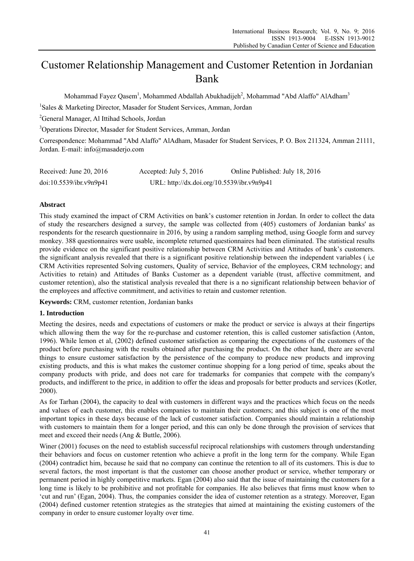# Customer Relationship Management and Customer Retention in Jordanian Bank

Mohammad Fayez Qasem $^{\rm l}$ , Mohammed Abdallah Abukhadijeh $^{\rm 2}$ , Mohammad "Abd Alaffo" AlAdham $^{\rm 3}$ 

<sup>1</sup>Sales & Marketing Director, Masader for Student Services, Amman, Jordan

<sup>2</sup>General Manager, Al Ittihad Schools, Jordan

3 Operations Director, Masader for Student Services, Amman, Jordan

Correspondence: Mohammad "Abd Alaffo" AlAdham, Masader for Student Services, P. O. Box 211324, Amman 21111, Jordan. E-mail: info@masaderjo.com

| Received: June 20, $2016$ | Accepted: July 5, 2016                     | Online Published: July 18, 2016 |
|---------------------------|--------------------------------------------|---------------------------------|
| doi:10.5539/ibr.y9n9p41   | URL: http://dx.doi.org/10.5539/ibr.v9n9p41 |                                 |

# **Abstract**

This study examined the impact of CRM Activities on bank's customer retention in Jordan. In order to collect the data of study the researchers designed a survey, the sample was collected from (405) customers of Jordanian banks' as respondents for the research questionnaire in 2016, by using a random sampling method, using Google form and survey monkey. 388 questionnaires were usable, incomplete returned questionnaires had been eliminated. The statistical results provide evidence on the significant positive relationship between CRM Activities and Attitudes of bank's customers. the significant analysis revealed that there is a significant positive relationship between the independent variables ( i,e CRM Activities represented Solving customers, Quality of service, Behavior of the employees, CRM technology; and Activities to retain) and Attitudes of Banks Customer as a dependent variable (trust, affective commitment, and customer retention), also the statistical analysis revealed that there is a no significant relationship between behavior of the employees and affective commitment, and activities to retain and customer retention.

**Keywords:** CRM, customer retention, Jordanian banks

# **1. Introduction**

Meeting the desires, needs and expectations of customers or make the product or service is always at their fingertips which allowing them the way for the re-purchase and customer retention, this is called customer satisfaction (Anton, 1996). While lemon et al, (2002) defined customer satisfaction as comparing the expectations of the customers of the product before purchasing with the results obtained after purchasing the product. On the other hand, there are several things to ensure customer satisfaction by the persistence of the company to produce new products and improving existing products, and this is what makes the customer continue shopping for a long period of time, speaks about the company products with pride, and does not care for trademarks for companies that compete with the company's products, and indifferent to the price, in addition to offer the ideas and proposals for better products and services (Kotler, 2000).

As for Tarhan (2004), the capacity to deal with customers in different ways and the practices which focus on the needs and values of each customer, this enables companies to maintain their customers; and this subject is one of the most important topics in these days because of the lack of customer satisfaction. Companies should maintain a relationship with customers to maintain them for a longer period, and this can only be done through the provision of services that meet and exceed their needs (Ang & Buttle, 2006).

Winer (2001) focuses on the need to establish successful reciprocal relationships with customers through understanding their behaviors and focus on customer retention who achieve a profit in the long term for the company. While Egan (2004) contradict him, because he said that no company can continue the retention to all of its customers. This is due to several factors, the most important is that the customer can choose another product or service, whether temporary or permanent period in highly competitive markets. Egan (2004) also said that the issue of maintaining the customers for a long time is likely to be prohibitive and not profitable for companies. He also believes that firms must know when to 'cut and run' (Egan, 2004). Thus, the companies consider the idea of customer retention as a strategy. Moreover, Egan (2004) defined customer retention strategies as the strategies that aimed at maintaining the existing customers of the company in order to ensure customer loyalty over time.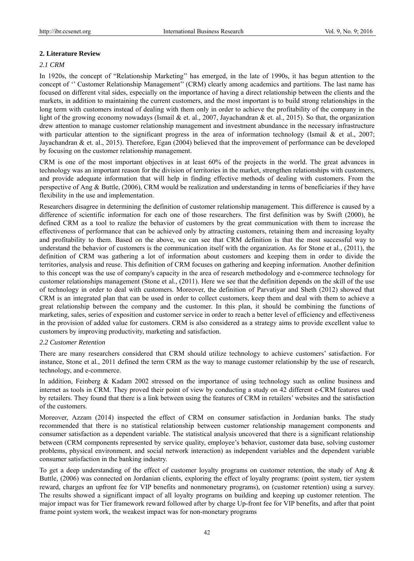# **2. Literature Review**

## *2.1 CRM*

In 1920s, the concept of "Relationship Marketing'' has emerged, in the late of 1990s, it has begun attention to the concept of '' Customer Relationship Management'' (CRM) clearly among academics and partitions. The last name has focused on different vital sides, especially on the importance of having a direct relationship between the clients and the markets, in addition to maintaining the current customers, and the most important is to build strong relationships in the long term with customers instead of dealing with them only in order to achieve the profitability of the company in the light of the growing economy nowadays (Ismail & et. al., 2007, Jayachandran & et. al., 2015). So that, the organization drew attention to manage customer relationship management and investment abundance in the necessary infrastructure with particular attention to the significant progress in the area of information technology (Ismail  $\&$  et al., 2007; Jayachandran & et. al., 2015). Therefore, Egan (2004) believed that the improvement of performance can be developed by focusing on the customer relationship management.

CRM is one of the most important objectives in at least 60% of the projects in the world. The great advances in technology was an important reason for the division of territories in the market, strengthen relationships with customers, and provide adequate information that will help in finding effective methods of dealing with customers. From the perspective of Ang & Buttle, (2006), CRM would be realization and understanding in terms of beneficiaries if they have flexibility in the use and implementation.

Researchers disagree in determining the definition of customer relationship management. This difference is caused by a difference of scientific information for each one of those researchers. The first definition was by Swift (2000), he defined CRM as a tool to realize the behavior of customers by the great communication with them to increase the effectiveness of performance that can be achieved only by attracting customers, retaining them and increasing loyalty and profitability to them. Based on the above, we can see that CRM definition is that the most successful way to understand the behavior of customers is the communication itself with the organization. As for Stone et al., (2011), the definition of CRM was gathering a lot of information about customers and keeping them in order to divide the territories, analysis and reuse. This definition of CRM focuses on gathering and keeping information. Another definition to this concept was the use of company's capacity in the area of research methodology and e-commerce technology for customer relationships management (Stone et al., (2011). Here we see that the definition depends on the skill of the use of technology in order to deal with customers. Moreover, the definition of Parvatiyar and Sheth (2012) showed that CRM is an integrated plan that can be used in order to collect customers, keep them and deal with them to achieve a great relationship between the company and the customer. In this plan, it should be combining the functions of marketing, sales, series of exposition and customer service in order to reach a better level of efficiency and effectiveness in the provision of added value for customers. CRM is also considered as a strategy aims to provide excellent value to customers by improving productivity, marketing and satisfaction.

#### *2.2 Customer Retention*

There are many researchers considered that CRM should utilize technology to achieve customers' satisfaction. For instance, Stone et al., 2011 defined the term CRM as the way to manage customer relationship by the use of research, technology, and e-commerce.

In addition, Feinberg & Kadam 2002 stressed on the importance of using technology such as online business and internet as tools in CRM. They proved their point of view by conducting a study on 42 different e-CRM features used by retailers. They found that there is a link between using the features of CRM in retailers' websites and the satisfaction of the customers.

Moreover, Azzam (2014) inspected the effect of CRM on consumer satisfaction in Jordanian banks. The study recommended that there is no statistical relationship between customer relationship management components and consumer satisfaction as a dependent variable. The statistical analysis uncovered that there is a significant relationship between (CRM components represented by service quality, employee's behavior, customer data base, solving customer problems, physical environment, and social network interaction) as independent variables and the dependent variable consumer satisfaction in the banking industry.

To get a deep understanding of the effect of customer loyalty programs on customer retention, the study of Ang & Buttle, (2006) was connected on Jordanian clients, exploring the effect of loyalty programs: (point system, tier system reward, charges an upfront fee for VIP benefits and nonmonetary programs), on (customer retention) using a survey. The results showed a significant impact of all loyalty programs on building and keeping up customer retention. The major impact was for Tier framework reward followed after by charge Up-front fee for VIP benefits, and after that point frame point system work, the weakest impact was for non-monetary programs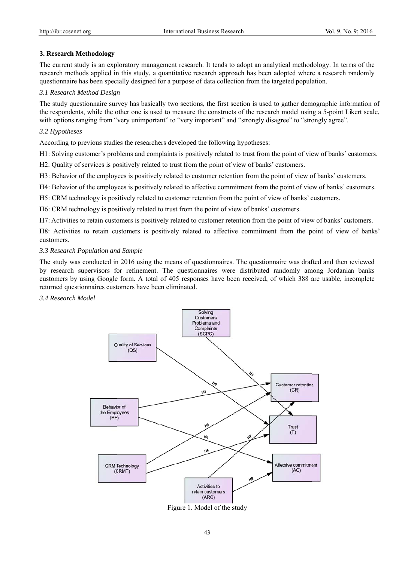## 3. Research Methodology

The current study is an exploratory management research. It tends to adopt an analytical methodology. In terms of the research methods applied in this study, a quantitative research approach has been adopted where a research randomly questionnaire has been specially designed for a purpose of data collection from the targeted population.

## 3.1 Research Method Design

The study questionnaire survey has basically two sections, the first section is used to gather demographic information of the respondents, while the other one is used to measure the constructs of the research model using a 5-point Likert scale. with options ranging from "very unimportant" to "very important" and "strongly disagree" to "strongly agree".

## 3.2 Hypotheses

According to previous studies the researchers developed the following hypotheses:

H1: Solving customer's problems and complaints is positively related to trust from the point of view of banks' customers.

H2: Quality of services is positively related to trust from the point of view of banks' customers.

H3: Behavior of the employees is positively related to customer retention from the point of view of banks' customers.

H4: Behavior of the employees is positively related to affective commitment from the point of view of banks' customers.

H5: CRM technology is positively related to customer retention from the point of view of banks' customers.

H6: CRM technology is positively related to trust from the point of view of banks' customers.

H7: Activities to retain customers is positively related to customer retention from the point of view of banks' customers.

H8: Activities to retain customers is positively related to affective commitment from the point of view of banks' customers.

## 3.3 Research Population and Sample

The study was conducted in 2016 using the means of questionnaires. The questionnaire was drafted and then reviewed by research supervisors for refinement. The questionnaires were distributed randomly among Jordanian banks customers by using Google form. A total of 405 responses have been received, of which 388 are usable, incomplete returned questionnaires customers have been eliminated.

#### 34 Research Model



Figure 1. Model of the study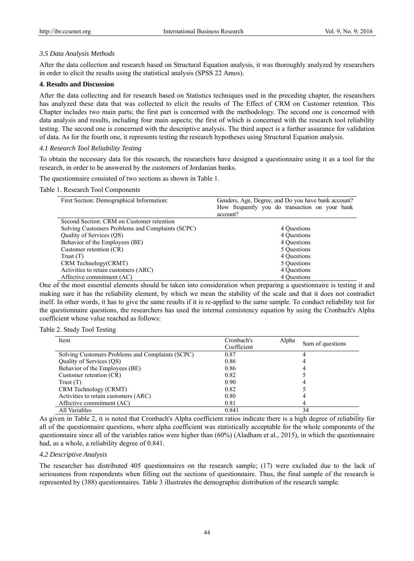#### *3.5 Data Analysis Methods*

After the data collection and research based on Structural Equation analysis, it was thoroughly analyzed by researchers in order to elicit the results using the statistical analysis (SPSS 22 Amos).

#### **4. Results and Discussion**

After the data collecting and for research based on Statistics techniques used in the preceding chapter, the researchers has analyzed these data that was collected to elicit the results of The Effect of CRM on Customer retention. This Chapter includes two main parts; the first part is concerned with the methodology. The second one is concerned with data analysis and results, including four main aspects; the first of which is concerned with the research tool reliability testing. The second one is concerned with the descriptive analysis. The third aspect is a further assurance for validation of data. As for the fourth one, it represents testing the research hypotheses using Structural Equation analysis.

## *4.1 Research Tool Reliability Testing*

To obtain the necessary data for this research, the researchers have designed a questionnaire using it as a tool for the research, in order to be answered by the customers of Jordanian banks.

The questionnaire consisted of two sections as shown in Table 1.

Table 1. Research Tool Components

| First Section: Demographical Information:        | Genders, Age, Degree, and Do you have bank account?<br>How frequently you do transaction on your bank |  |  |  |
|--------------------------------------------------|-------------------------------------------------------------------------------------------------------|--|--|--|
|                                                  | account?                                                                                              |  |  |  |
| Second Section: CRM on Customer retention        |                                                                                                       |  |  |  |
| Solving Customers Problems and Complaints (SCPC) | 4 Questions                                                                                           |  |  |  |
| Quality of Services (QS)                         | 4 Ouestions                                                                                           |  |  |  |
| Behavior of the Employees (BE)                   | 4 Ouestions                                                                                           |  |  |  |
| Customer retention (CR)                          | 5 Ouestions                                                                                           |  |  |  |
| Trust $(T)$                                      | 4 Ouestions                                                                                           |  |  |  |
| CRM Technology(CRMT)                             | 5 Ouestions                                                                                           |  |  |  |
| Activities to retain customers (ARC)             | 4 Ouestions                                                                                           |  |  |  |
| Affective commitment (AC)                        | 4 Ouestions                                                                                           |  |  |  |

One of the most essential elements should be taken into consideration when preparing a questionnaire is testing it and making sure it has the reliability element, by which we mean the stability of the scale and that it does not contradict itself. In other words, it has to give the same results if it is re-applied to the same sample. To conduct reliability test for the questionnaire questions, the researchers has used the internal consistency equation by using the Cronbach's Alpha coefficient whose value reached as follows:

# Table 2. Study Tool Testing

| Item                                             | Cronbach's<br>Coefficient | Alpha<br>Sum of questions |
|--------------------------------------------------|---------------------------|---------------------------|
| Solving Customers Problems and Complaints (SCPC) | 0.87                      |                           |
| Quality of Services (QS)                         | 0.86                      |                           |
| Behavior of the Employees (BE)                   | 0.86                      |                           |
| Customer retention (CR)                          | 0.82                      |                           |
| Trust $(T)$                                      | 0.90                      |                           |
| CRM Technology (CRMT)                            | 0.82                      |                           |
| Activities to retain customers (ARC)             | 0.80                      |                           |
| Affective commitment (AC)                        | 0.81                      |                           |
| All Variables                                    | 0.841                     | 34                        |

As given in Table 2, it is noted that Cronbach's Alpha coefficient ratios indicate there is a high degree of reliability for all of the questionnaire questions, where alpha coefficient was statistically acceptable for the whole components of the questionnaire since all of the variables ratios were higher than (60%) (Aladham et al., 2015), in which the questionnaire had, as a whole, a reliability degree of 0.841.

#### *4.2 Descriptive Analysis*

The researcher has distributed 405 questionnaires on the research sample; (17) were excluded due to the lack of seriousness from respondents when filling out the sections of questionnaire. Thus, the final sample of the research is represented by (388) questionnaires. Table 3 illustrates the demographic distribution of the research sample.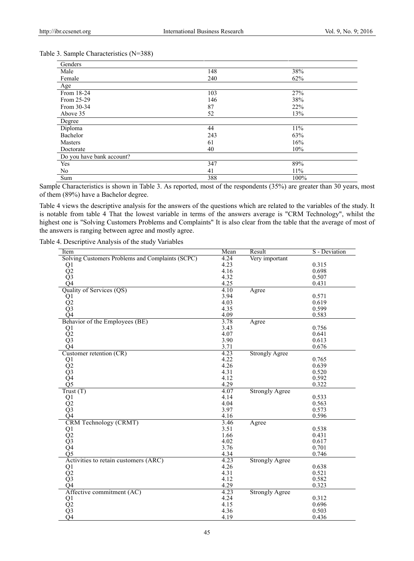| Genders                   |     |      |  |
|---------------------------|-----|------|--|
| Male                      | 148 | 38%  |  |
| Female                    | 240 | 62%  |  |
| Age                       |     |      |  |
| From 18-24                | 103 | 27%  |  |
| From 25-29                | 146 | 38%  |  |
| From 30-34                | 87  | 22%  |  |
| Above 35                  | 52  | 13%  |  |
| Degree                    |     |      |  |
| Diploma                   | 44  | 11%  |  |
| Bachelor                  | 243 | 63%  |  |
| <b>Masters</b>            | 61  | 16%  |  |
| Doctorate                 | 40  | 10%  |  |
| Do you have bank account? |     |      |  |
| Yes                       | 347 | 89%  |  |
| No                        | 41  | 11%  |  |
| Sum                       | 388 | 100% |  |

#### Table 3. Sample Characteristics (N=388)

Sample Characteristics is shown in Table 3. As reported, most of the respondents (35%) are greater than 30 years, most of them (89%) have a Bachelor degree.

Table 4 views the descriptive analysis for the answers of the questions which are related to the variables of the study. It is notable from table 4 That the lowest variable in terms of the answers average is "CRM Technology", whilst the highest one is "Solving Customers Problems and Complaints" It is also clear from the table that the average of most of the answers is ranging between agree and mostly agree.

Table 4. Descriptive Analysis of the study Variables

| Item                                              | Mean | Result                | S - Deviation |
|---------------------------------------------------|------|-----------------------|---------------|
| Solving Customers Problems and Complaints (SCPC)  | 4.24 | Very important        |               |
|                                                   | 4.23 |                       | 0.315         |
|                                                   | 4.16 |                       | 0.698         |
|                                                   | 4.32 |                       | 0.507         |
| Q1<br>Q2<br>Q3<br>Q4                              | 4.25 |                       | 0.431         |
| Quality of Services (QS)                          | 4.10 | Agree                 |               |
|                                                   | 3.94 |                       | 0.571         |
|                                                   | 4.03 |                       | 0.619         |
|                                                   | 4.35 |                       | 0.599         |
| Q1<br>Q2<br>Q3<br>Q4                              | 4.09 |                       | 0.583         |
| Behavior of the Employees (BE)                    | 3.78 | Agree                 |               |
|                                                   | 3.43 |                       | 0.756         |
|                                                   | 4.07 |                       | 0.641         |
|                                                   | 3.90 |                       | 0.613         |
| Q1<br>Q2<br>Q3<br>Q4                              | 3.71 |                       | 0.676         |
| Customer retention (CR)                           | 4.23 | <b>Strongly Agree</b> |               |
|                                                   | 4.22 |                       | 0.765         |
|                                                   | 4.26 |                       | 0.639         |
|                                                   | 4.31 |                       | 0.520         |
|                                                   | 4.12 |                       | 0.592         |
|                                                   | 4.29 |                       | 0.322         |
| $Q1$<br>$Q2$<br>$Q3$<br>$Q4$<br>$Q5$<br>Trust (T) | 4.07 | <b>Strongly Agree</b> |               |
|                                                   | 4.14 |                       | 0.533         |
|                                                   | 4.04 |                       | 0.563         |
|                                                   | 3.97 |                       | 0.573         |
| $Q1$<br>$Q2$<br>$Q3$<br>$Q4$                      | 4.16 |                       | 0.596         |
| CRM Technology (CRMT)                             | 3.46 | Agree                 |               |
|                                                   | 3.51 |                       | 0.538         |
|                                                   | 1.66 |                       | 0.431         |
|                                                   | 4.02 |                       | 0.617         |
|                                                   | 3.76 |                       | 0.701         |
| Q1<br>Q2<br>Q3<br>Q4<br>Q5                        | 4.34 |                       | 0.746         |
| Activities to retain customers (ARC)              | 4.23 | <b>Strongly Agree</b> |               |
|                                                   | 4.26 |                       | 0.638         |
|                                                   | 4.31 |                       | 0.521         |
|                                                   | 4.12 |                       | 0.582         |
| $Q1$<br>$Q2$<br>$Q3$<br>$Q4$                      | 4.29 |                       | 0.323         |
| Affective commitment (AC)                         | 4.23 | <b>Strongly Agree</b> |               |
|                                                   | 4.24 |                       | 0.312         |
|                                                   | 4.15 |                       | 0.696         |
|                                                   | 4.36 |                       | 0.503         |
| Q1<br>Q2<br>Q3<br>Q4                              | 4.19 |                       | 0.436         |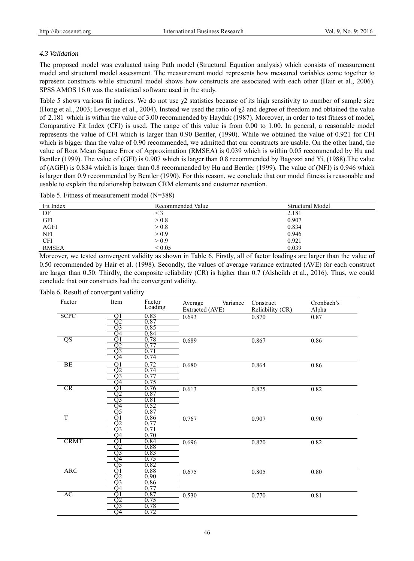## *4.3 Validation*

The proposed model was evaluated using Path model (Structural Equation analysis) which consists of measurement model and structural model assessment. The measurement model represents how measured variables come together to represent constructs while structural model shows how constructs are associated with each other (Hair et al., 2006). SPSS AMOS 16.0 was the statistical software used in the study.

Table 5 shows various fit indices. We do not use  $\chi^2$  statistics because of its high sensitivity to number of sample size (Hong et al., 2003; Levesque et al., 2004). Instead we used the ratio of  $\gamma$ 2 and degree of freedom and obtained the value of 2.181 which is within the value of 3.00 recommended by Hayduk (1987). Moreover, in order to test fitness of model, Comparative Fit Index (CFI) is used. The range of this value is from 0.00 to 1.00. In general, a reasonable model represents the value of CFI which is larger than 0.90 Bentler, (1990). While we obtained the value of 0.921 for CFI which is bigger than the value of 0.90 recommended, we admitted that our constructs are usable. On the other hand, the value of Root Mean Square Error of Approximation (RMSEA) is 0.039 which is within 0.05 recommended by Hu and Bentler (1999). The value of (GFI) is 0.907 which is larger than 0.8 recommended by Bagozzi and Yi, (1988).The value of (AGFI) is 0.834 which is larger than 0.8 recommended by Hu and Bentler (1999). The value of (NFI) is 0.946 which is larger than 0.9 recommended by Bentler (1990). For this reason, we conclude that our model fitness is reasonable and usable to explain the relationship between CRM elements and customer retention.

Table 5. Fitness of measurement model (N=388)

| Fit Index    | Recommended Value | Structural Model |
|--------------|-------------------|------------------|
| DF           | $\leq$ 3          | 2.181            |
| <b>GFI</b>   | > 0.8             | 0.907            |
| <b>AGFI</b>  | > 0.8             | 0.834            |
| <b>NFI</b>   | > 0.9             | 0.946            |
| <b>CFI</b>   | > 0.9             | 0.921            |
| <b>RMSEA</b> | ${}_{0.05}$       | 0.039            |

Moreover, we tested convergent validity as shown in Table 6. Firstly, all of factor loadings are larger than the value of 0.50 recommended by Hair et al. (1998). Secondly, the values of average variance extracted (AVE) for each construct are larger than 0.50. Thirdly, the composite reliability (CR) is higher than 0.7 (Alsheikh et al., 2016). Thus, we could conclude that our constructs had the convergent validity.

| Item | Factor                                                                                        | Variance<br>Average                                                                                                                                                                                                                                                            | Construct                                                                               | Cronbach's                                                                               |
|------|-----------------------------------------------------------------------------------------------|--------------------------------------------------------------------------------------------------------------------------------------------------------------------------------------------------------------------------------------------------------------------------------|-----------------------------------------------------------------------------------------|------------------------------------------------------------------------------------------|
|      |                                                                                               |                                                                                                                                                                                                                                                                                |                                                                                         | Alpha                                                                                    |
|      |                                                                                               |                                                                                                                                                                                                                                                                                |                                                                                         | 0.87                                                                                     |
|      |                                                                                               |                                                                                                                                                                                                                                                                                |                                                                                         |                                                                                          |
|      |                                                                                               |                                                                                                                                                                                                                                                                                |                                                                                         |                                                                                          |
|      |                                                                                               |                                                                                                                                                                                                                                                                                |                                                                                         |                                                                                          |
|      |                                                                                               |                                                                                                                                                                                                                                                                                |                                                                                         | 0.86                                                                                     |
|      |                                                                                               |                                                                                                                                                                                                                                                                                |                                                                                         |                                                                                          |
|      |                                                                                               |                                                                                                                                                                                                                                                                                |                                                                                         |                                                                                          |
|      |                                                                                               |                                                                                                                                                                                                                                                                                |                                                                                         | 0.86                                                                                     |
|      |                                                                                               |                                                                                                                                                                                                                                                                                |                                                                                         |                                                                                          |
|      |                                                                                               |                                                                                                                                                                                                                                                                                |                                                                                         |                                                                                          |
| 74   |                                                                                               |                                                                                                                                                                                                                                                                                |                                                                                         |                                                                                          |
|      |                                                                                               |                                                                                                                                                                                                                                                                                |                                                                                         | 0.82                                                                                     |
|      | 0.87                                                                                          |                                                                                                                                                                                                                                                                                |                                                                                         |                                                                                          |
| )3   | 0.81                                                                                          |                                                                                                                                                                                                                                                                                |                                                                                         |                                                                                          |
| 74   |                                                                                               |                                                                                                                                                                                                                                                                                |                                                                                         |                                                                                          |
|      |                                                                                               |                                                                                                                                                                                                                                                                                |                                                                                         |                                                                                          |
|      |                                                                                               |                                                                                                                                                                                                                                                                                |                                                                                         | $\overline{0.90}$                                                                        |
|      |                                                                                               |                                                                                                                                                                                                                                                                                |                                                                                         |                                                                                          |
|      |                                                                                               |                                                                                                                                                                                                                                                                                |                                                                                         |                                                                                          |
|      |                                                                                               |                                                                                                                                                                                                                                                                                |                                                                                         |                                                                                          |
|      |                                                                                               |                                                                                                                                                                                                                                                                                |                                                                                         | 0.82                                                                                     |
|      |                                                                                               |                                                                                                                                                                                                                                                                                |                                                                                         |                                                                                          |
|      |                                                                                               |                                                                                                                                                                                                                                                                                |                                                                                         |                                                                                          |
|      |                                                                                               |                                                                                                                                                                                                                                                                                |                                                                                         |                                                                                          |
|      |                                                                                               |                                                                                                                                                                                                                                                                                |                                                                                         |                                                                                          |
|      |                                                                                               |                                                                                                                                                                                                                                                                                |                                                                                         | $\overline{0.80}$                                                                        |
|      |                                                                                               |                                                                                                                                                                                                                                                                                |                                                                                         |                                                                                          |
|      |                                                                                               |                                                                                                                                                                                                                                                                                |                                                                                         |                                                                                          |
|      |                                                                                               |                                                                                                                                                                                                                                                                                |                                                                                         | 0.81                                                                                     |
|      |                                                                                               |                                                                                                                                                                                                                                                                                |                                                                                         |                                                                                          |
|      |                                                                                               |                                                                                                                                                                                                                                                                                |                                                                                         |                                                                                          |
|      |                                                                                               |                                                                                                                                                                                                                                                                                |                                                                                         |                                                                                          |
|      | )3<br>)4<br>)3<br>Ο4<br>ΩJ<br>)3<br>74<br>73<br>74<br>)5<br>)3<br>74<br>)3<br>$\overline{)4}$ | Loading<br>0.83<br>0.87<br>0.85<br>0.84<br>0.78<br>0.77<br>0.71<br>0.74<br>0.72<br>0.74<br>0.77<br>0.75<br>0.76<br>0.52<br>0.87<br>0.86<br>0.77<br>0.71<br>0.70<br>0.84<br>0.88<br>0.83<br>$\frac{0.75}{0.82}$<br>0.88<br>0.90<br>0.86<br>0.77<br>0.87<br>0.75<br>0.78<br>0.72 | Extracted (AVE)<br>0.693<br>0.689<br>0.680<br>0.613<br>0.767<br>0.696<br>0.675<br>0.530 | Reliability (CR)<br>0.870<br>0.867<br>0.864<br>0.825<br>0.907<br>0.820<br>0.805<br>0.770 |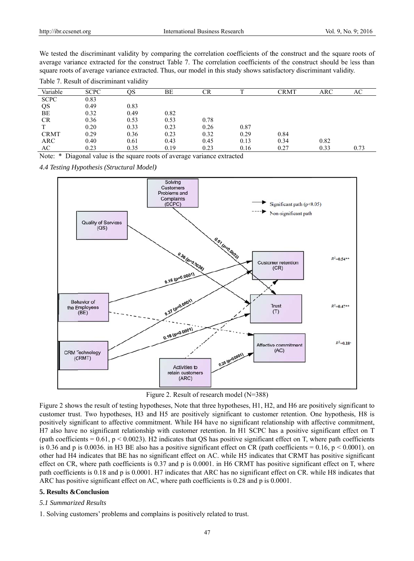We tested the discriminant validity by comparing the correlation coefficients of the construct and the square roots of average variance extracted for the construct Table 7. The correlation coefficients of the construct should be less than square roots of average variance extracted. Thus, our model in this study shows satisfactory discriminant validity.

Table 7. Result of discriminant validity

| Variable    | <b>SCPC</b> |      | BE   |      |      | CRMT | ARC  | AC   |
|-------------|-------------|------|------|------|------|------|------|------|
| <b>SCPC</b> | 0.83        |      |      |      |      |      |      |      |
| QS          | 0.49        | 0.83 |      |      |      |      |      |      |
| BE          | 0.32        | 0.49 | 0.82 |      |      |      |      |      |
| <b>CR</b>   | 0.36        | 0.53 | 0.53 | 0.78 |      |      |      |      |
|             | 0.20        | 0.33 | 0.23 | 0.26 | 0.87 |      |      |      |
| <b>CRMT</b> | 0.29        | 0.36 | 0.23 | 0.32 | 0.29 | 0.84 |      |      |
| <b>ARC</b>  | 0.40        | 0.61 | 0.43 | 0.45 | 0.13 | 0.34 | 0.82 |      |
| AC          | 0.23        | 0.35 | 0.19 | 0.23 | 0.16 | 0.27 | 0.33 | 0.73 |
|             |             |      |      |      |      |      |      |      |

Note: \* Diagonal value is the square roots of average variance extracted

4.4 Testing Hypothesis (Structural Model)



Figure 2. Result of research model (N=388)

Figure 2 shows the result of testing hypotheses, Note that three hypotheses, H1, H2, and H6 are positively significant to customer trust. Two hypotheses, H3 and H5 are positively significant to customer retention. One hypothesis, H8 is positively significant to affective commitment. While H4 have no significant relationship with affective commitment, H7 also have no significant relationship with customer retention. In H1 SCPC has a positive significant effect on T (path coefficients =  $0.61$ , p <  $0.0023$ ). H2 indicates that QS has positive significant effect on T, where path coefficients is 0.36 and p is 0.0036. in H3 BE also has a positive significant effect on CR (path coefficients = 0.16,  $p < 0.0001$ ). on other had H4 indicates that BE has no significant effect on AC. while H5 indicates that CRMT has positive significant effect on CR, where path coefficients is 0.37 and p is 0.0001. in H6 CRMT has positive significant effect on T, where path coefficients is 0.18 and p is 0.0001. H7 indicates that ARC has no significant effect on CR. while H8 indicates that ARC has positive significant effect on AC, where path coefficients is 0.28 and p is 0.0001.

# 5. Results & Conclusion

# 5.1 Summarized Results

1. Solving customers' problems and complains is positively related to trust.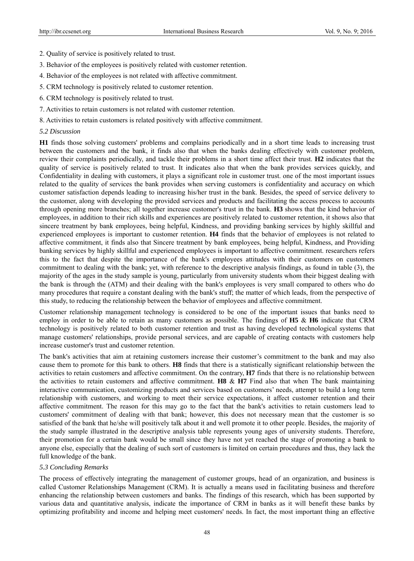- 2. Quality of service is positively related to trust.
- 3. Behavior of the employees is positively related with customer retention.
- 4. Behavior of the employees is not related with affective commitment.
- 5. CRM technology is positively related to customer retention.
- 6. CRM technology is positively related to trust.
- 7. Activities to retain customers is not related with customer retention.
- 8. Activities to retain customers is related positively with affective commitment.

#### *5.2 Discussion*

**H1** finds those solving customers' problems and complains periodically and in a short time leads to increasing trust between the customers and the bank, it finds also that when the banks dealing effectively with customer problem, review their complaints periodically, and tackle their problems in a short time affect their trust. **H2** indicates that the quality of service is positively related to trust. It indicates also that when the bank provides services quickly, and Confidentiality in dealing with customers, it plays a significant role in customer trust. one of the most important issues related to the quality of services the bank provides when serving customers is confidentiality and accuracy on which customer satisfaction depends leading to increasing his/her trust in the bank. Besides, the speed of service delivery to the customer, along with developing the provided services and products and facilitating the access process to accounts through opening more branches; all together increase customer's trust in the bank. **H3** shows that the kind behavior of employees, in addition to their rich skills and experiences are positively related to customer retention, it shows also that sincere treatment by bank employees, being helpful, Kindness, and providing banking services by highly skillful and experienced employees is important to customer retention. **H4** finds that the behavior of employees is not related to affective commitment, it finds also that Sincere treatment by bank employees, being helpful, Kindness, and Providing banking services by highly skillful and experienced employees is important to affective commitment. researchers refers this to the fact that despite the importance of the bank's employees attitudes with their customers on customers commitment to dealing with the bank; yet, with reference to the descriptive analysis findings, as found in table (3), the majority of the ages in the study sample is young, particularly from university students whom their biggest dealing with the bank is through the (ATM) and their dealing with the bank's employees is very small compared to others who do many procedures that require a constant dealing with the bank's stuff; the matter of which leads, from the perspective of this study, to reducing the relationship between the behavior of employees and affective commitment.

Customer relationship management technology is considered to be one of the important issues that banks need to employ in order to be able to retain as many customers as possible. The findings of **H5** & **H6** indicate that CRM technology is positively related to both customer retention and trust as having developed technological systems that manage customers' relationships, provide personal services, and are capable of creating contacts with customers help increase customer's trust and customer retention.

The bank's activities that aim at retaining customers increase their customer's commitment to the bank and may also cause them to promote for this bank to others. **H8** finds that there is a statistically significant relationship between the activities to retain customers and affective commitment. On the contrary, **H7** finds that there is no relationship between the activities to retain customers and affective commitment. **H8** & **H7** Find also that when The bank maintaining interactive communication, customizing products and services based on customers' needs, attempt to build a long term relationship with customers, and working to meet their service expectations, it affect customer retention and their affective commitment. The reason for this may go to the fact that the bank's activities to retain customers lead to customers' commitment of dealing with that bank; however, this does not necessary mean that the customer is so satisfied of the bank that he/she will positively talk about it and well promote it to other people. Besides, the majority of the study sample illustrated in the descriptive analysis table represents young ages of university students. Therefore, their promotion for a certain bank would be small since they have not yet reached the stage of promoting a bank to anyone else, especially that the dealing of such sort of customers is limited on certain procedures and thus, they lack the full knowledge of the bank.

#### *5.3 Concluding Remarks*

The process of effectively integrating the management of customer groups, head of an organization, and business is called Customer Relationships Management (CRM). It is actually a means used in facilitating business and therefore enhancing the relationship between customers and banks. The findings of this research, which has been supported by various data and quantitative analysis, indicate the importance of CRM in banks as it will benefit these banks by optimizing profitability and income and helping meet customers' needs. In fact, the most important thing an effective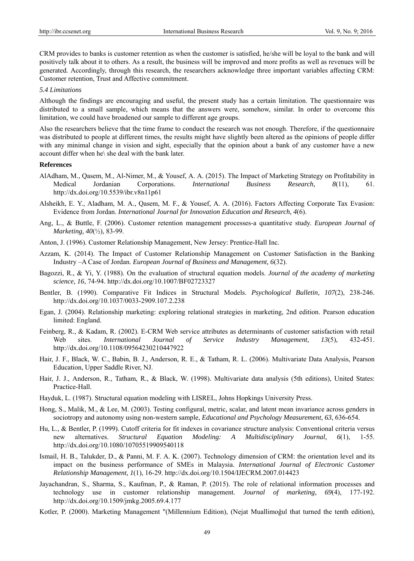CRM provides to banks is customer retention as when the customer is satisfied, he/she will be loyal to the bank and will positively talk about it to others. As a result, the business will be improved and more profits as well as revenues will be generated. Accordingly, through this research, the researchers acknowledge three important variables affecting CRM: Customer retention, Trust and Affective commitment.

#### *5.4 Limitations*

Although the findings are encouraging and useful, the present study has a certain limitation. The questionnaire was distributed to a small sample, which means that the answers were, somehow, similar. In order to overcome this limitation, we could have broadened our sample to different age groups.

Also the researchers believe that the time frame to conduct the research was not enough. Therefore, if the questionnaire was distributed to people at different times, the results might have slightly been altered as the opinions of people differ with any minimal change in vision and sight, especially that the opinion about a bank of any customer have a new account differ when he\ she deal with the bank later.

#### **References**

- AlAdham, M., Qasem, M., Al-Nimer, M., & Yousef, A. A. (2015). The Impact of Marketing Strategy on Profitability in Medical Jordanian Corporations. *International Business Research, 8*(11), 61. http://dx.doi.org/10.5539/ibr.v8n11p61
- Alsheikh, E. Y., Aladham, M. A., Qasem, M. F., & Yousef, A. A. (2016). Factors Affecting Corporate Tax Evasion: Evidence from Jordan. *International Journal for Innovation Education and Research, 4*(6).
- Ang, L., & Buttle, F. (2006). Customer retention management processes-a quantitative study. *European Journal of Marketing, 40*(½), 83-99.
- Anton, J. (1996). Customer Relationship Management, New Jersey: Prentice-Hall Inc.
- Azzam, K. (2014). The Impact of Customer Relationship Management on Customer Satisfaction in the Banking Industry –A Case of Jordan. *European Journal of Business and Management, 6*(32).
- Bagozzi, R., & Yi, Y. (1988). On the evaluation of structural equation models. *Journal of the academy of marketing science, 16*, 74-94. http://dx.doi.org/10.1007/BF02723327
- Bentler, B. (1990). Comparative Fit Indices in Structural Models. *Psychological Bulletin, 107*(2), 238-246. http://dx.doi.org/10.1037/0033-2909.107.2.238
- Egan, J. (2004). Relationship marketing: exploring relational strategies in marketing, 2nd edition. Pearson education limited: England.
- Feinberg, R., & Kadam, R. (2002). E-CRM Web service attributes as determinants of customer satisfaction with retail Web sites. *International Journal of Service Industry Management, 13*(5), 432-451. http://dx.doi.org/10.1108/09564230210447922
- Hair, J. F., Black, W. C., Babin, B. J., Anderson, R. E., & Tatham, R. L. (2006). Multivariate Data Analysis, Pearson Education, Upper Saddle River, NJ.
- Hair, J. J., Anderson, R., Tatham, R., & Black, W. (1998). Multivariate data analysis (5th editions), United States: Practice-Hall.
- Hayduk, L. (1987). Structural equation modeling with LISREL, Johns Hopkings University Press.
- Hong, S., Malik, M., & Lee, M. (2003). Testing configural, metric, scalar, and latent mean invariance across genders in sociotropy and autonomy using non-western sample, *Educational and Psychology Measurement, 63*, 636-654.
- Hu, L., & Bentler, P. (1999). Cutoff criteria for fit indexes in covariance structure analysis: Conventional criteria versus new alternatives. *Structural Equation Modeling: A Multidisciplinary Journal, 6*(1), 1-55. http://dx.doi.org/10.1080/10705519909540118
- Ismail, H. B., Talukder, D., & Panni, M. F. A. K. (2007). Technology dimension of CRM: the orientation level and its impact on the business performance of SMEs in Malaysia. *International Journal of Electronic Customer Relationship Management, 1*(1), 16-29. http://dx.doi.org/10.1504/IJECRM.2007.014423
- Jayachandran, S., Sharma, S., Kaufman, P., & Raman, P. (2015). The role of relational information processes and technology use in customer relationship management. *Journal of marketing, 69*(4), 177-192. http://dx.doi.org/10.1509/jmkg.2005.69.4.177
- Kotler, P. (2000). Marketing Management "(Millennium Edition), (Nejat Muallimoğul that turned the tenth edition),